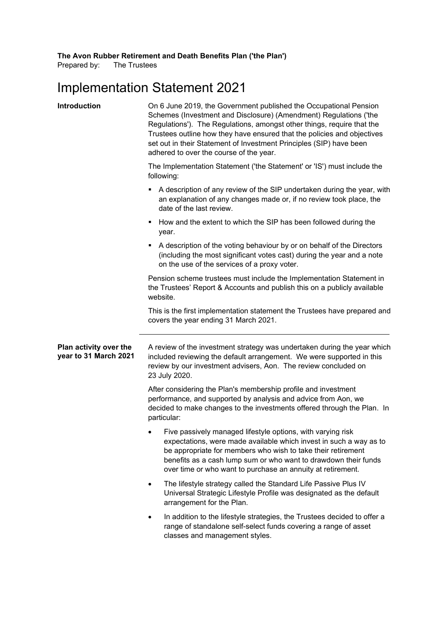**The Avon Rubber Retirement and Death Benefits Plan ('the Plan')**

Prepared by: The Trustees

# Implementation Statement 2021

| Introduction                                    | On 6 June 2019, the Government published the Occupational Pension<br>Schemes (Investment and Disclosure) (Amendment) Regulations ('the<br>Regulations'). The Regulations, amongst other things, require that the<br>Trustees outline how they have ensured that the policies and objectives<br>set out in their Statement of Investment Principles (SIP) have been<br>adhered to over the course of the year. |  |  |
|-------------------------------------------------|---------------------------------------------------------------------------------------------------------------------------------------------------------------------------------------------------------------------------------------------------------------------------------------------------------------------------------------------------------------------------------------------------------------|--|--|
|                                                 | The Implementation Statement ('the Statement' or 'IS') must include the<br>following:                                                                                                                                                                                                                                                                                                                         |  |  |
|                                                 | A description of any review of the SIP undertaken during the year, with<br>an explanation of any changes made or, if no review took place, the<br>date of the last review.                                                                                                                                                                                                                                    |  |  |
|                                                 | How and the extent to which the SIP has been followed during the<br>٠<br>year.                                                                                                                                                                                                                                                                                                                                |  |  |
|                                                 | A description of the voting behaviour by or on behalf of the Directors<br>٠<br>(including the most significant votes cast) during the year and a note<br>on the use of the services of a proxy voter.                                                                                                                                                                                                         |  |  |
|                                                 | Pension scheme trustees must include the Implementation Statement in<br>the Trustees' Report & Accounts and publish this on a publicly available<br>website.                                                                                                                                                                                                                                                  |  |  |
|                                                 | This is the first implementation statement the Trustees have prepared and<br>covers the year ending 31 March 2021.                                                                                                                                                                                                                                                                                            |  |  |
| Plan activity over the<br>year to 31 March 2021 | A review of the investment strategy was undertaken during the year which<br>included reviewing the default arrangement. We were supported in this<br>review by our investment advisers, Aon. The review concluded on<br>23 July 2020.                                                                                                                                                                         |  |  |
|                                                 | After considering the Plan's membership profile and investment<br>performance, and supported by analysis and advice from Aon, we<br>decided to make changes to the investments offered through the Plan. In<br>particular:                                                                                                                                                                                    |  |  |
|                                                 | Five passively managed lifestyle options, with varying risk<br>expectations, were made available which invest in such a way as to<br>be appropriate for members who wish to take their retirement<br>benefits as a cash lump sum or who want to drawdown their funds<br>over time or who want to purchase an annuity at retirement.                                                                           |  |  |
|                                                 | The lifestyle strategy called the Standard Life Passive Plus IV<br>$\bullet$<br>Universal Strategic Lifestyle Profile was designated as the default<br>arrangement for the Plan.                                                                                                                                                                                                                              |  |  |
|                                                 | In addition to the lifestyle strategies, the Trustees decided to offer a<br>range of standalone self-select funds covering a range of asset<br>classes and management styles.                                                                                                                                                                                                                                 |  |  |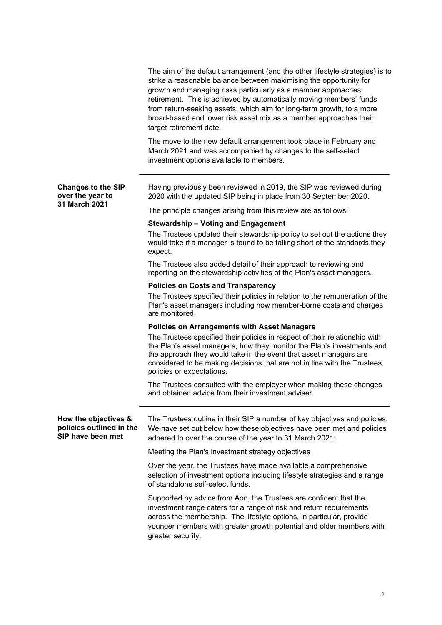|                                                                       | The aim of the default arrangement (and the other lifestyle strategies) is to<br>strike a reasonable balance between maximising the opportunity for<br>growth and managing risks particularly as a member approaches<br>retirement. This is achieved by automatically moving members' funds<br>from return-seeking assets, which aim for long-term growth, to a more<br>broad-based and lower risk asset mix as a member approaches their<br>target retirement date. |
|-----------------------------------------------------------------------|----------------------------------------------------------------------------------------------------------------------------------------------------------------------------------------------------------------------------------------------------------------------------------------------------------------------------------------------------------------------------------------------------------------------------------------------------------------------|
|                                                                       | The move to the new default arrangement took place in February and<br>March 2021 and was accompanied by changes to the self-select<br>investment options available to members.                                                                                                                                                                                                                                                                                       |
| <b>Changes to the SIP</b><br>over the year to                         | Having previously been reviewed in 2019, the SIP was reviewed during<br>2020 with the updated SIP being in place from 30 September 2020.                                                                                                                                                                                                                                                                                                                             |
| 31 March 2021                                                         | The principle changes arising from this review are as follows:                                                                                                                                                                                                                                                                                                                                                                                                       |
|                                                                       | <b>Stewardship - Voting and Engagement</b>                                                                                                                                                                                                                                                                                                                                                                                                                           |
|                                                                       | The Trustees updated their stewardship policy to set out the actions they<br>would take if a manager is found to be falling short of the standards they<br>expect.                                                                                                                                                                                                                                                                                                   |
|                                                                       | The Trustees also added detail of their approach to reviewing and<br>reporting on the stewardship activities of the Plan's asset managers.                                                                                                                                                                                                                                                                                                                           |
|                                                                       | <b>Policies on Costs and Transparency</b>                                                                                                                                                                                                                                                                                                                                                                                                                            |
|                                                                       | The Trustees specified their policies in relation to the remuneration of the<br>Plan's asset managers including how member-borne costs and charges<br>are monitored.                                                                                                                                                                                                                                                                                                 |
|                                                                       | <b>Policies on Arrangements with Asset Managers</b>                                                                                                                                                                                                                                                                                                                                                                                                                  |
|                                                                       | The Trustees specified their policies in respect of their relationship with<br>the Plan's asset managers, how they monitor the Plan's investments and<br>the approach they would take in the event that asset managers are<br>considered to be making decisions that are not in line with the Trustees<br>policies or expectations.                                                                                                                                  |
|                                                                       | The Trustees consulted with the employer when making these changes<br>and obtained advice from their investment adviser.                                                                                                                                                                                                                                                                                                                                             |
| How the objectives &<br>policies outlined in the<br>SIP have been met | The Trustees outline in their SIP a number of key objectives and policies.<br>We have set out below how these objectives have been met and policies<br>adhered to over the course of the year to 31 March 2021:                                                                                                                                                                                                                                                      |
|                                                                       | Meeting the Plan's investment strategy objectives                                                                                                                                                                                                                                                                                                                                                                                                                    |
|                                                                       | Over the year, the Trustees have made available a comprehensive<br>selection of investment options including lifestyle strategies and a range<br>of standalone self-select funds.                                                                                                                                                                                                                                                                                    |
|                                                                       | Supported by advice from Aon, the Trustees are confident that the<br>investment range caters for a range of risk and return requirements<br>across the membership. The lifestyle options, in particular, provide<br>younger members with greater growth potential and older members with<br>greater security.                                                                                                                                                        |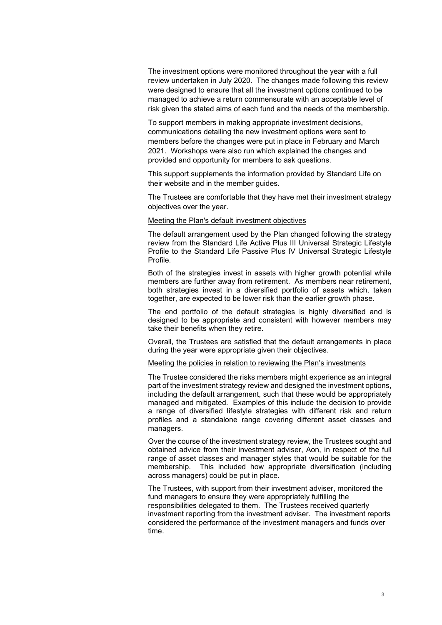The investment options were monitored throughout the year with a full review undertaken in July 2020. The changes made following this review were designed to ensure that all the investment options continued to be managed to achieve a return commensurate with an acceptable level of risk given the stated aims of each fund and the needs of the membership.

To support members in making appropriate investment decisions, communications detailing the new investment options were sent to members before the changes were put in place in February and March 2021. Workshops were also run which explained the changes and provided and opportunity for members to ask questions.

This support supplements the information provided by Standard Life on their website and in the member guides.

The Trustees are comfortable that they have met their investment strategy objectives over the year.

#### Meeting the Plan's default investment objectives

The default arrangement used by the Plan changed following the strategy review from the Standard Life Active Plus III Universal Strategic Lifestyle Profile to the Standard Life Passive Plus IV Universal Strategic Lifestyle Profile.

Both of the strategies invest in assets with higher growth potential while members are further away from retirement. As members near retirement, both strategies invest in a diversified portfolio of assets which, taken together, are expected to be lower risk than the earlier growth phase.

The end portfolio of the default strategies is highly diversified and is designed to be appropriate and consistent with however members may take their benefits when they retire.

Overall, the Trustees are satisfied that the default arrangements in place during the year were appropriate given their objectives.

#### Meeting the policies in relation to reviewing the Plan's investments

The Trustee considered the risks members might experience as an integral part of the investment strategy review and designed the investment options, including the default arrangement, such that these would be appropriately managed and mitigated. Examples of this include the decision to provide a range of diversified lifestyle strategies with different risk and return profiles and a standalone range covering different asset classes and managers.

Over the course of the investment strategy review, the Trustees sought and obtained advice from their investment adviser, Aon, in respect of the full range of asset classes and manager styles that would be suitable for the membership. This included how appropriate diversification (including across managers) could be put in place.

The Trustees, with support from their investment adviser, monitored the fund managers to ensure they were appropriately fulfilling the responsibilities delegated to them. The Trustees received quarterly investment reporting from the investment adviser. The investment reports considered the performance of the investment managers and funds over time.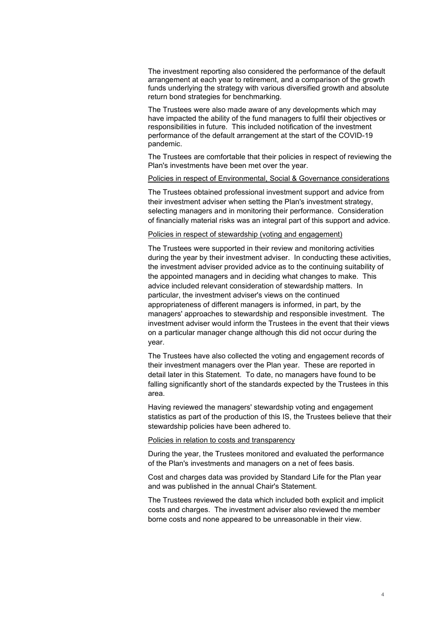The investment reporting also considered the performance of the default arrangement at each year to retirement, and a comparison of the growth funds underlying the strategy with various diversified growth and absolute return bond strategies for benchmarking.

The Trustees were also made aware of any developments which may have impacted the ability of the fund managers to fulfil their objectives or responsibilities in future. This included notification of the investment performance of the default arrangement at the start of the COVID-19 pandemic.

The Trustees are comfortable that their policies in respect of reviewing the Plan's investments have been met over the year.

#### Policies in respect of Environmental, Social & Governance considerations

The Trustees obtained professional investment support and advice from their investment adviser when setting the Plan's investment strategy, selecting managers and in monitoring their performance. Consideration of financially material risks was an integral part of this support and advice.

#### Policies in respect of stewardship (voting and engagement)

The Trustees were supported in their review and monitoring activities during the year by their investment adviser. In conducting these activities, the investment adviser provided advice as to the continuing suitability of the appointed managers and in deciding what changes to make. This advice included relevant consideration of stewardship matters. In particular, the investment adviser's views on the continued appropriateness of different managers is informed, in part, by the managers' approaches to stewardship and responsible investment. The investment adviser would inform the Trustees in the event that their views on a particular manager change although this did not occur during the year.

The Trustees have also collected the voting and engagement records of their investment managers over the Plan year. These are reported in detail later in this Statement. To date, no managers have found to be falling significantly short of the standards expected by the Trustees in this area.

Having reviewed the managers' stewardship voting and engagement statistics as part of the production of this IS, the Trustees believe that their stewardship policies have been adhered to.

#### Policies in relation to costs and transparency

During the year, the Trustees monitored and evaluated the performance of the Plan's investments and managers on a net of fees basis.

Cost and charges data was provided by Standard Life for the Plan year and was published in the annual Chair's Statement.

The Trustees reviewed the data which included both explicit and implicit costs and charges. The investment adviser also reviewed the member borne costs and none appeared to be unreasonable in their view.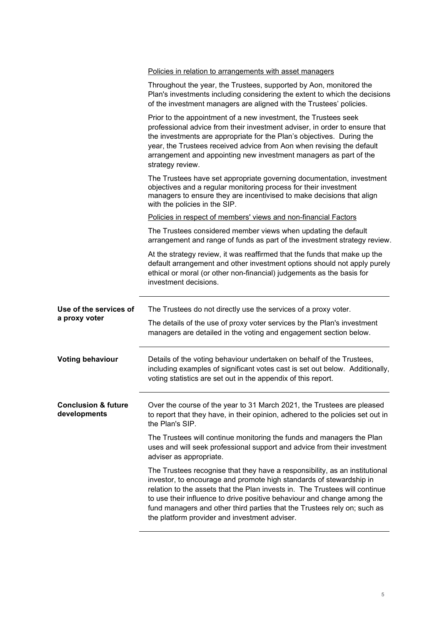|                                                | Policies in relation to arrangements with asset managers                                                                                                                                                                                                                                                                                                                                 |
|------------------------------------------------|------------------------------------------------------------------------------------------------------------------------------------------------------------------------------------------------------------------------------------------------------------------------------------------------------------------------------------------------------------------------------------------|
|                                                | Throughout the year, the Trustees, supported by Aon, monitored the<br>Plan's investments including considering the extent to which the decisions<br>of the investment managers are aligned with the Trustees' policies.                                                                                                                                                                  |
|                                                | Prior to the appointment of a new investment, the Trustees seek<br>professional advice from their investment adviser, in order to ensure that<br>the investments are appropriate for the Plan's objectives. During the<br>year, the Trustees received advice from Aon when revising the default<br>arrangement and appointing new investment managers as part of the<br>strategy review. |
|                                                | The Trustees have set appropriate governing documentation, investment<br>objectives and a regular monitoring process for their investment<br>managers to ensure they are incentivised to make decisions that align<br>with the policies in the SIP.                                                                                                                                      |
|                                                | Policies in respect of members' views and non-financial Factors                                                                                                                                                                                                                                                                                                                          |
|                                                | The Trustees considered member views when updating the default<br>arrangement and range of funds as part of the investment strategy review.                                                                                                                                                                                                                                              |
|                                                | At the strategy review, it was reaffirmed that the funds that make up the<br>default arrangement and other investment options should not apply purely<br>ethical or moral (or other non-financial) judgements as the basis for<br>investment decisions.                                                                                                                                  |
| Use of the services of                         | The Trustees do not directly use the services of a proxy voter.                                                                                                                                                                                                                                                                                                                          |
| a proxy voter                                  | The details of the use of proxy voter services by the Plan's investment<br>managers are detailed in the voting and engagement section below.                                                                                                                                                                                                                                             |
|                                                |                                                                                                                                                                                                                                                                                                                                                                                          |
| <b>Voting behaviour</b>                        | Details of the voting behaviour undertaken on behalf of the Trustees,<br>including examples of significant votes cast is set out below. Additionally,<br>voting statistics are set out in the appendix of this report.                                                                                                                                                                   |
| <b>Conclusion &amp; future</b><br>developments | Over the course of the year to 31 March 2021, the Trustees are pleased<br>to report that they have, in their opinion, adhered to the policies set out in<br>the Plan's SIP.                                                                                                                                                                                                              |
|                                                | The Trustees will continue monitoring the funds and managers the Plan<br>uses and will seek professional support and advice from their investment<br>adviser as appropriate.                                                                                                                                                                                                             |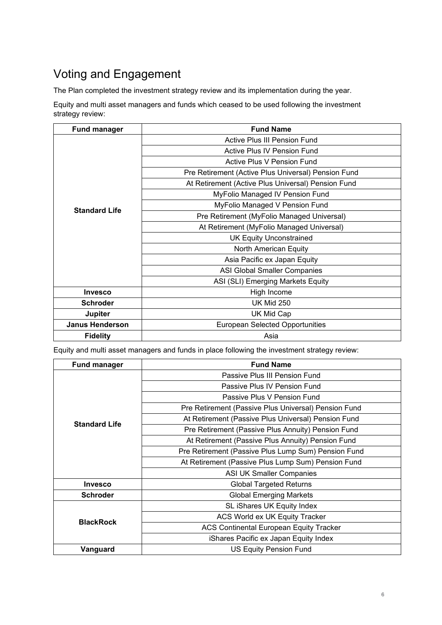# Voting and Engagement

The Plan completed the investment strategy review and its implementation during the year.

Equity and multi asset managers and funds which ceased to be used following the investment strategy review:

| <b>Fund manager</b>    | <b>Fund Name</b>                                    |  |  |
|------------------------|-----------------------------------------------------|--|--|
| <b>Standard Life</b>   | Active Plus III Pension Fund                        |  |  |
|                        | Active Plus IV Pension Fund                         |  |  |
|                        | Active Plus V Pension Fund                          |  |  |
|                        | Pre Retirement (Active Plus Universal) Pension Fund |  |  |
|                        | At Retirement (Active Plus Universal) Pension Fund  |  |  |
|                        | MyFolio Managed IV Pension Fund                     |  |  |
|                        | MyFolio Managed V Pension Fund                      |  |  |
|                        | Pre Retirement (MyFolio Managed Universal)          |  |  |
|                        | At Retirement (MyFolio Managed Universal)           |  |  |
|                        | <b>UK Equity Unconstrained</b>                      |  |  |
|                        | North American Equity                               |  |  |
|                        | Asia Pacific ex Japan Equity                        |  |  |
|                        | <b>ASI Global Smaller Companies</b>                 |  |  |
|                        | ASI (SLI) Emerging Markets Equity                   |  |  |
| <b>Invesco</b>         | High Income                                         |  |  |
| <b>Schroder</b>        | <b>UK Mid 250</b>                                   |  |  |
| <b>Jupiter</b>         | UK Mid Cap                                          |  |  |
| <b>Janus Henderson</b> | <b>European Selected Opportunities</b>              |  |  |
| <b>Fidelity</b>        | Asia                                                |  |  |

Equity and multi asset managers and funds in place following the investment strategy review:

| <b>Fund manager</b>  | <b>Fund Name</b>                                     |  |
|----------------------|------------------------------------------------------|--|
|                      | Passive Plus III Pension Fund                        |  |
|                      | Passive Plus IV Pension Fund                         |  |
|                      | Passive Plus V Pension Fund                          |  |
|                      | Pre Retirement (Passive Plus Universal) Pension Fund |  |
| <b>Standard Life</b> | At Retirement (Passive Plus Universal) Pension Fund  |  |
|                      | Pre Retirement (Passive Plus Annuity) Pension Fund   |  |
|                      | At Retirement (Passive Plus Annuity) Pension Fund    |  |
|                      | Pre Retirement (Passive Plus Lump Sum) Pension Fund  |  |
|                      | At Retirement (Passive Plus Lump Sum) Pension Fund   |  |
|                      | <b>ASI UK Smaller Companies</b>                      |  |
| <b>Invesco</b>       | <b>Global Targeted Returns</b>                       |  |
| <b>Schroder</b>      | <b>Global Emerging Markets</b>                       |  |
|                      | SL iShares UK Equity Index                           |  |
| <b>BlackRock</b>     | ACS World ex UK Equity Tracker                       |  |
|                      | <b>ACS Continental European Equity Tracker</b>       |  |
|                      | iShares Pacific ex Japan Equity Index                |  |
| Vanguard             | <b>US Equity Pension Fund</b>                        |  |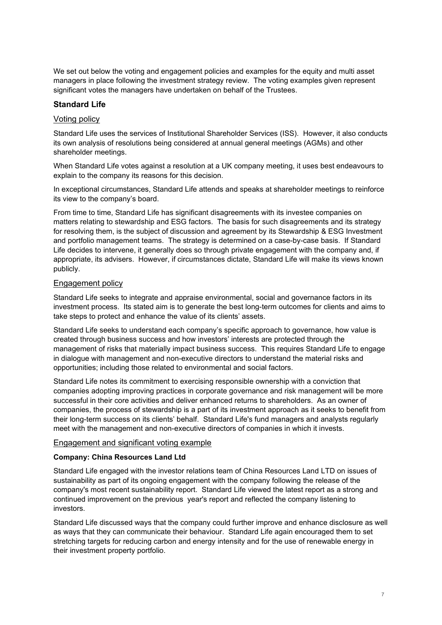We set out below the voting and engagement policies and examples for the equity and multi asset managers in place following the investment strategy review. The voting examples given represent significant votes the managers have undertaken on behalf of the Trustees.

## **Standard Life**

## Voting policy

Standard Life uses the services of Institutional Shareholder Services (ISS). However, it also conducts its own analysis of resolutions being considered at annual general meetings (AGMs) and other shareholder meetings.

When Standard Life votes against a resolution at a UK company meeting, it uses best endeavours to explain to the company its reasons for this decision.

In exceptional circumstances, Standard Life attends and speaks at shareholder meetings to reinforce its view to the company's board.

From time to time, Standard Life has significant disagreements with its investee companies on matters relating to stewardship and ESG factors. The basis for such disagreements and its strategy for resolving them, is the subject of discussion and agreement by its Stewardship & ESG Investment and portfolio management teams. The strategy is determined on a case-by-case basis. If Standard Life decides to intervene, it generally does so through private engagement with the company and, if appropriate, its advisers. However, if circumstances dictate, Standard Life will make its views known publicly.

## Engagement policy

Standard Life seeks to integrate and appraise environmental, social and governance factors in its investment process. Its stated aim is to generate the best long-term outcomes for clients and aims to take steps to protect and enhance the value of its clients' assets.

Standard Life seeks to understand each company's specific approach to governance, how value is created through business success and how investors' interests are protected through the management of risks that materially impact business success. This requires Standard Life to engage in dialogue with management and non-executive directors to understand the material risks and opportunities; including those related to environmental and social factors.

Standard Life notes its commitment to exercising responsible ownership with a conviction that companies adopting improving practices in corporate governance and risk management will be more successful in their core activities and deliver enhanced returns to shareholders. As an owner of companies, the process of stewardship is a part of its investment approach as it seeks to benefit from their long-term success on its clients' behalf. Standard Life's fund managers and analysts regularly meet with the management and non-executive directors of companies in which it invests.

## Engagement and significant voting example

## **Company: China Resources Land Ltd**

Standard Life engaged with the investor relations team of China Resources Land LTD on issues of sustainability as part of its ongoing engagement with the company following the release of the company's most recent sustainability report. Standard Life viewed the latest report as a strong and continued improvement on the previous year's report and reflected the company listening to investors.

Standard Life discussed ways that the company could further improve and enhance disclosure as well as ways that they can communicate their behaviour. Standard Life again encouraged them to set stretching targets for reducing carbon and energy intensity and for the use of renewable energy in their investment property portfolio.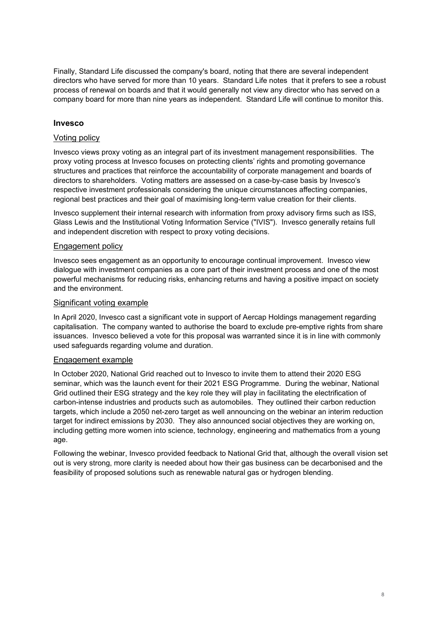Finally, Standard Life discussed the company's board, noting that there are several independent directors who have served for more than 10 years. Standard Life notes that it prefers to see a robust process of renewal on boards and that it would generally not view any director who has served on a company board for more than nine years as independent. Standard Life will continue to monitor this.

## **Invesco**

#### Voting policy

Invesco views proxy voting as an integral part of its investment management responsibilities. The proxy voting process at Invesco focuses on protecting clients' rights and promoting governance structures and practices that reinforce the accountability of corporate management and boards of directors to shareholders. Voting matters are assessed on a case-by-case basis by Invesco's respective investment professionals considering the unique circumstances affecting companies, regional best practices and their goal of maximising long-term value creation for their clients.

Invesco supplement their internal research with information from proxy advisory firms such as ISS, Glass Lewis and the Institutional Voting Information Service ("IVIS"). Invesco generally retains full and independent discretion with respect to proxy voting decisions.

#### Engagement policy

Invesco sees engagement as an opportunity to encourage continual improvement. Invesco view dialogue with investment companies as a core part of their investment process and one of the most powerful mechanisms for reducing risks, enhancing returns and having a positive impact on society and the environment.

#### Significant voting example

In April 2020, Invesco cast a significant vote in support of Aercap Holdings management regarding capitalisation. The company wanted to authorise the board to exclude pre-emptive rights from share issuances. Invesco believed a vote for this proposal was warranted since it is in line with commonly used safeguards regarding volume and duration.

#### Engagement example

In October 2020, National Grid reached out to Invesco to invite them to attend their 2020 ESG seminar, which was the launch event for their 2021 ESG Programme. During the webinar, National Grid outlined their ESG strategy and the key role they will play in facilitating the electrification of carbon-intense industries and products such as automobiles. They outlined their carbon reduction targets, which include a 2050 net-zero target as well announcing on the webinar an interim reduction target for indirect emissions by 2030. They also announced social objectives they are working on, including getting more women into science, technology, engineering and mathematics from a young age.

Following the webinar, Invesco provided feedback to National Grid that, although the overall vision set out is very strong, more clarity is needed about how their gas business can be decarbonised and the feasibility of proposed solutions such as renewable natural gas or hydrogen blending.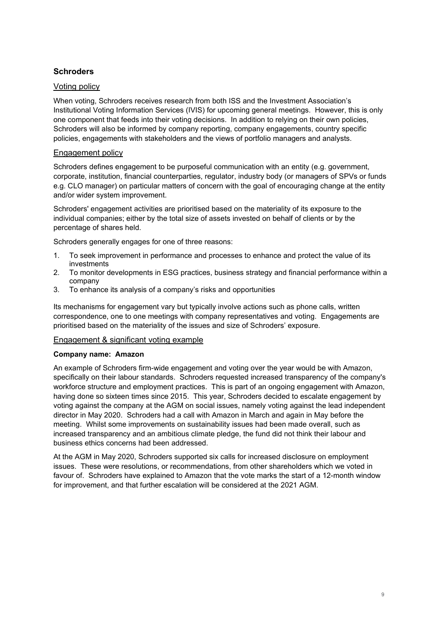# **Schroders**

## Voting policy

When voting, Schroders receives research from both ISS and the Investment Association's Institutional Voting Information Services (IVIS) for upcoming general meetings. However, this is only one component that feeds into their voting decisions. In addition to relying on their own policies, Schroders will also be informed by company reporting, company engagements, country specific policies, engagements with stakeholders and the views of portfolio managers and analysts.

## Engagement policy

Schroders defines engagement to be purposeful communication with an entity (e.g. government, corporate, institution, financial counterparties, regulator, industry body (or managers of SPVs or funds e.g. CLO manager) on particular matters of concern with the goal of encouraging change at the entity and/or wider system improvement.

Schroders' engagement activities are prioritised based on the materiality of its exposure to the individual companies; either by the total size of assets invested on behalf of clients or by the percentage of shares held.

Schroders generally engages for one of three reasons:

- 1. To seek improvement in performance and processes to enhance and protect the value of its investments
- 2. To monitor developments in ESG practices, business strategy and financial performance within a company
- 3. To enhance its analysis of a company's risks and opportunities

Its mechanisms for engagement vary but typically involve actions such as phone calls, written correspondence, one to one meetings with company representatives and voting. Engagements are prioritised based on the materiality of the issues and size of Schroders' exposure.

## Engagement & significant voting example

## **Company name: Amazon**

An example of Schroders firm-wide engagement and voting over the year would be with Amazon, specifically on their labour standards. Schroders requested increased transparency of the company's workforce structure and employment practices. This is part of an ongoing engagement with Amazon, having done so sixteen times since 2015. This year, Schroders decided to escalate engagement by voting against the company at the AGM on social issues, namely voting against the lead independent director in May 2020. Schroders had a call with Amazon in March and again in May before the meeting. Whilst some improvements on sustainability issues had been made overall, such as increased transparency and an ambitious climate pledge, the fund did not think their labour and business ethics concerns had been addressed.

At the AGM in May 2020, Schroders supported six calls for increased disclosure on employment issues. These were resolutions, or recommendations, from other shareholders which we voted in favour of. Schroders have explained to Amazon that the vote marks the start of a 12-month window for improvement, and that further escalation will be considered at the 2021 AGM.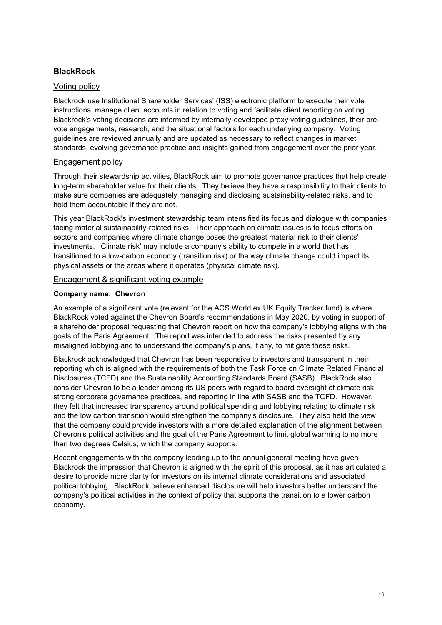# **BlackRock**

## Voting policy

Blackrock use Institutional Shareholder Services' (ISS) electronic platform to execute their vote instructions, manage client accounts in relation to voting and facilitate client reporting on voting. Blackrock's voting decisions are informed by internally-developed proxy voting guidelines, their prevote engagements, research, and the situational factors for each underlying company. Voting guidelines are reviewed annually and are updated as necessary to reflect changes in market standards, evolving governance practice and insights gained from engagement over the prior year.

## Engagement policy

Through their stewardship activities, BlackRock aim to promote governance practices that help create long-term shareholder value for their clients. They believe they have a responsibility to their clients to make sure companies are adequately managing and disclosing sustainability-related risks, and to hold them accountable if they are not.

This year BlackRock's investment stewardship team intensified its focus and dialogue with companies facing material sustainability-related risks. Their approach on climate issues is to focus efforts on sectors and companies where climate change poses the greatest material risk to their clients' investments. 'Climate risk' may include a company's ability to compete in a world that has transitioned to a low-carbon economy (transition risk) or the way climate change could impact its physical assets or the areas where it operates (physical climate risk).

## Engagement & significant voting example

## **Company name: Chevron**

An example of a significant vote (relevant for the ACS World ex UK Equity Tracker fund) is where BlackRock voted against the Chevron Board's recommendations in May 2020, by voting in support of a shareholder proposal requesting that Chevron report on how the company's lobbying aligns with the goals of the Paris Agreement. The report was intended to address the risks presented by any misaligned lobbying and to understand the company's plans, if any, to mitigate these risks.

Blackrock acknowledged that Chevron has been responsive to investors and transparent in their reporting which is aligned with the requirements of both the Task Force on Climate Related Financial Disclosures (TCFD) and the Sustainability Accounting Standards Board (SASB). BlackRock also consider Chevron to be a leader among its US peers with regard to board oversight of climate risk, strong corporate governance practices, and reporting in line with SASB and the TCFD. However, they felt that increased transparency around political spending and lobbying relating to climate risk and the low carbon transition would strengthen the company's disclosure. They also held the view that the company could provide investors with a more detailed explanation of the alignment between Chevron's political activities and the goal of the Paris Agreement to limit global warming to no more than two degrees Celsius, which the company supports.

Recent engagements with the company leading up to the annual general meeting have given Blackrock the impression that Chevron is aligned with the spirit of this proposal, as it has articulated a desire to provide more clarity for investors on its internal climate considerations and associated political lobbying. BlackRock believe enhanced disclosure will help investors better understand the company's political activities in the context of policy that supports the transition to a lower carbon economy.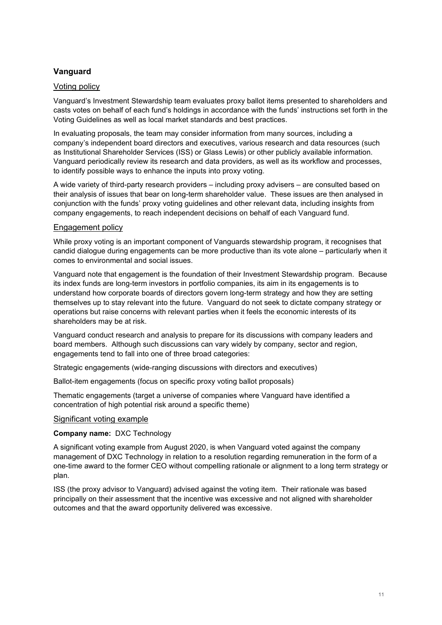# **Vanguard**

## Voting policy

Vanguard's Investment Stewardship team evaluates proxy ballot items presented to shareholders and casts votes on behalf of each fund's holdings in accordance with the funds' instructions set forth in the Voting Guidelines as well as local market standards and best practices.

In evaluating proposals, the team may consider information from many sources, including a company's independent board directors and executives, various research and data resources (such as Institutional Shareholder Services (ISS) or Glass Lewis) or other publicly available information. Vanguard periodically review its research and data providers, as well as its workflow and processes, to identify possible ways to enhance the inputs into proxy voting.

A wide variety of third-party research providers – including proxy advisers – are consulted based on their analysis of issues that bear on long-term shareholder value. These issues are then analysed in conjunction with the funds' proxy voting guidelines and other relevant data, including insights from company engagements, to reach independent decisions on behalf of each Vanguard fund.

## Engagement policy

While proxy voting is an important component of Vanguards stewardship program, it recognises that candid dialogue during engagements can be more productive than its vote alone – particularly when it comes to environmental and social issues.

Vanguard note that engagement is the foundation of their Investment Stewardship program. Because its index funds are long-term investors in portfolio companies, its aim in its engagements is to understand how corporate boards of directors govern long-term strategy and how they are setting themselves up to stay relevant into the future. Vanguard do not seek to dictate company strategy or operations but raise concerns with relevant parties when it feels the economic interests of its shareholders may be at risk.

Vanguard conduct research and analysis to prepare for its discussions with company leaders and board members. Although such discussions can vary widely by company, sector and region, engagements tend to fall into one of three broad categories:

Strategic engagements (wide-ranging discussions with directors and executives)

Ballot-item engagements (focus on specific proxy voting ballot proposals)

Thematic engagements (target a universe of companies where Vanguard have identified a concentration of high potential risk around a specific theme)

## Significant voting example

## **Company name:** DXC Technology

A significant voting example from August 2020, is when Vanguard voted against the company management of DXC Technology in relation to a resolution regarding remuneration in the form of a one-time award to the former CEO without compelling rationale or alignment to a long term strategy or plan.

ISS (the proxy advisor to Vanguard) advised against the voting item. Their rationale was based principally on their assessment that the incentive was excessive and not aligned with shareholder outcomes and that the award opportunity delivered was excessive.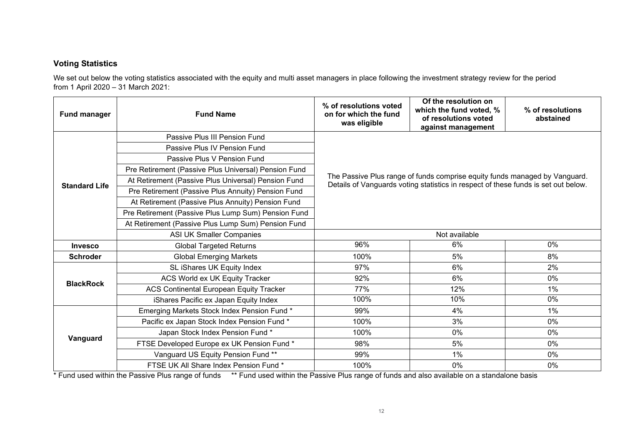## **Voting Statistics**

We set out below the voting statistics associated with the equity and multi asset managers in place following the investment strategy review for the period from 1 April 2020 – 31 March 2021:

| <b>Fund manager</b>  | <b>Fund Name</b>                                     | % of resolutions voted<br>on for which the fund<br>was eligible                                                                                                  | Of the resolution on<br>which the fund voted, %<br>of resolutions voted<br>against management | % of resolutions<br>abstained |  |
|----------------------|------------------------------------------------------|------------------------------------------------------------------------------------------------------------------------------------------------------------------|-----------------------------------------------------------------------------------------------|-------------------------------|--|
| <b>Standard Life</b> | Passive Plus III Pension Fund                        |                                                                                                                                                                  |                                                                                               |                               |  |
|                      | Passive Plus IV Pension Fund                         | The Passive Plus range of funds comprise equity funds managed by Vanguard.<br>Details of Vanguards voting statistics in respect of these funds is set out below. |                                                                                               |                               |  |
|                      | Passive Plus V Pension Fund                          |                                                                                                                                                                  |                                                                                               |                               |  |
|                      | Pre Retirement (Passive Plus Universal) Pension Fund |                                                                                                                                                                  |                                                                                               |                               |  |
|                      | At Retirement (Passive Plus Universal) Pension Fund  |                                                                                                                                                                  |                                                                                               |                               |  |
|                      | Pre Retirement (Passive Plus Annuity) Pension Fund   |                                                                                                                                                                  |                                                                                               |                               |  |
|                      | At Retirement (Passive Plus Annuity) Pension Fund    |                                                                                                                                                                  |                                                                                               |                               |  |
|                      | Pre Retirement (Passive Plus Lump Sum) Pension Fund  |                                                                                                                                                                  |                                                                                               |                               |  |
|                      | At Retirement (Passive Plus Lump Sum) Pension Fund   |                                                                                                                                                                  |                                                                                               |                               |  |
|                      | <b>ASI UK Smaller Companies</b>                      | Not available                                                                                                                                                    |                                                                                               |                               |  |
| <b>Invesco</b>       | <b>Global Targeted Returns</b>                       | 96%                                                                                                                                                              | 6%                                                                                            | $0\%$                         |  |
| <b>Schroder</b>      | <b>Global Emerging Markets</b>                       | 100%                                                                                                                                                             | 5%                                                                                            | 8%                            |  |
| <b>BlackRock</b>     | SL iShares UK Equity Index                           | 97%                                                                                                                                                              | 6%                                                                                            | 2%                            |  |
|                      | ACS World ex UK Equity Tracker                       | 92%                                                                                                                                                              | 6%                                                                                            | $0\%$                         |  |
|                      | <b>ACS Continental European Equity Tracker</b>       | 77%                                                                                                                                                              | 12%                                                                                           | 1%                            |  |
|                      | iShares Pacific ex Japan Equity Index                | 100%                                                                                                                                                             | 10%                                                                                           | 0%                            |  |
| Vanguard             | Emerging Markets Stock Index Pension Fund *          | 99%                                                                                                                                                              | 4%                                                                                            | 1%                            |  |
|                      | Pacific ex Japan Stock Index Pension Fund *          | 100%                                                                                                                                                             | 3%                                                                                            | 0%                            |  |
|                      | Japan Stock Index Pension Fund *                     | 100%                                                                                                                                                             | 0%                                                                                            | 0%                            |  |
|                      | FTSE Developed Europe ex UK Pension Fund *           | 98%                                                                                                                                                              | 5%                                                                                            | $0\%$                         |  |
|                      | Vanguard US Equity Pension Fund **                   | 99%                                                                                                                                                              | 1%                                                                                            | 0%                            |  |
|                      | FTSE UK All Share Index Pension Fund *               | 100%                                                                                                                                                             | $0\%$                                                                                         | $0\%$                         |  |

\* Fund used within the Passive Plus range of funds \*\* Fund used within the Passive Plus range of funds and also available on a standalone basis